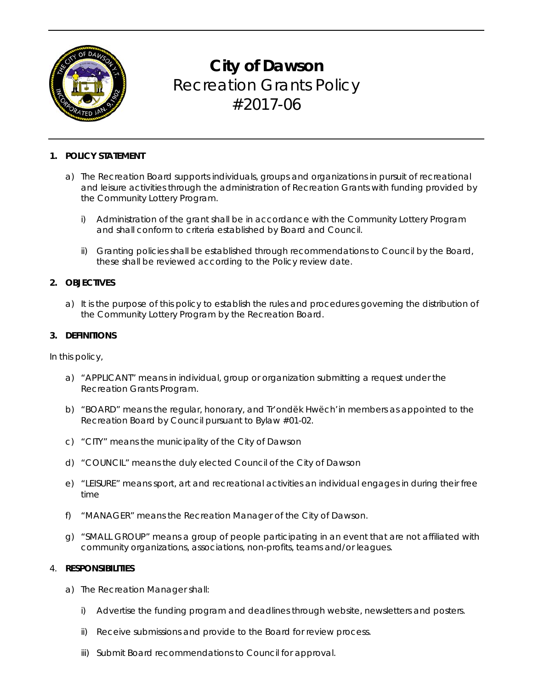

# **City of Dawson**  Recreation Grants Policy #2017-06

# **1. POLICY STATEMENT**

- a) The Recreation Board supports individuals, groups and organizations in pursuit of recreational and leisure activities through the administration of Recreation Grants with funding provided by the Community Lottery Program.
	- i) Administration of the grant shall be in accordance with the Community Lottery Program and shall conform to criteria established by Board and Council.
	- ii) Granting policies shall be established through recommendations to Council by the Board, these shall be reviewed according to the Policy review date.

# **2. OBJECTIVES**

a) It is the purpose of this policy to establish the rules and procedures governing the distribution of the Community Lottery Program by the Recreation Board.

# **3. DEFINITIONS**

In this policy,

- a) "APPLICANT" means in individual, group or organization submitting a request under the Recreation Grants Program.
- b) "BOARD" means the regular, honorary, and Tr'ondëk Hwëch'in members as appointed to the Recreation Board by Council pursuant to Bylaw #01-02.
- c) "CITY" means the municipality of the City of Dawson
- d) "COUNCIL" means the duly elected Council of the City of Dawson
- e) "LEISURE" means sport, art and recreational activities an individual engages in during their free time
- f) "MANAGER" means the Recreation Manager of the City of Dawson.
- g) "SMALL GROUP" means a group of people participating in an event that are not affiliated with community organizations, associations, non-profits, teams and/or leagues.

# 4. **RESPONSIBILITIES**

- a) The Recreation Manager shall:
	- i) Advertise the funding program and deadlines through website, newsletters and posters.
	- ii) Receive submissions and provide to the Board for review process.
	- iii) Submit Board recommendations to Council for approval.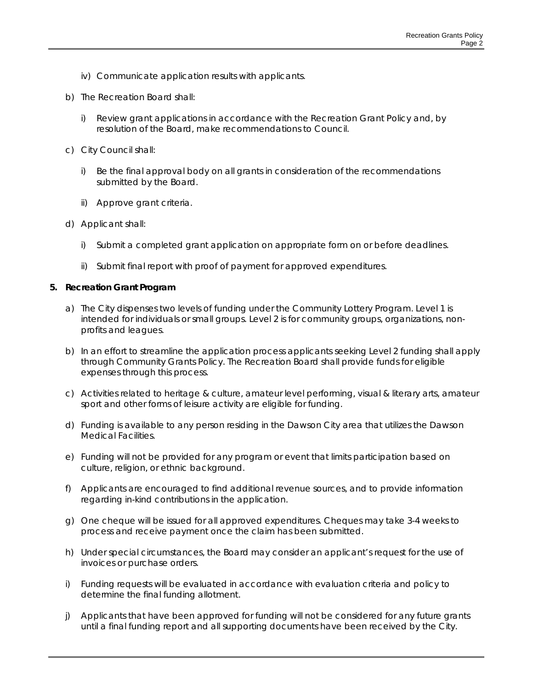- iv) Communicate application results with applicants.
- b) The Recreation Board shall:
	- i) Review grant applications in accordance with the Recreation Grant Policy and, by resolution of the Board, make recommendations to Council.
- c) City Council shall:
	- i) Be the final approval body on all grants in consideration of the recommendations submitted by the Board.
	- ii) Approve grant criteria.
- d) Applicant shall:
	- i) Submit a completed grant application on appropriate form on or before deadlines.
	- ii) Submit final report with proof of payment for approved expenditures.

#### **5. Recreation Grant Program**

- a) The City dispenses two levels of funding under the Community Lottery Program. Level 1 is intended for individuals or small groups. Level 2 is for community groups, organizations, nonprofits and leagues.
- b) In an effort to streamline the application process applicants seeking Level 2 funding shall apply through Community Grants Policy. The Recreation Board shall provide funds for eligible expenses through this process.
- c) Activities related to heritage & culture, amateur level performing, visual & literary arts, amateur sport and other forms of leisure activity are eligible for funding.
- d) Funding is available to any person residing in the Dawson City area that utilizes the Dawson Medical Facilities.
- e) Funding will not be provided for any program or event that limits participation based on culture, religion, or ethnic background.
- f) Applicants are encouraged to find additional revenue sources, and to provide information regarding in-kind contributions in the application.
- g) One cheque will be issued for all approved expenditures. Cheques may take 3-4 weeks to process and receive payment once the claim has been submitted.
- h) Under special circumstances, the Board may consider an applicant's request for the use of invoices or purchase orders.
- i) Funding requests will be evaluated in accordance with evaluation criteria and policy to determine the final funding allotment.
- j) Applicants that have been approved for funding will not be considered for any future grants until a final funding report and all supporting documents have been received by the City.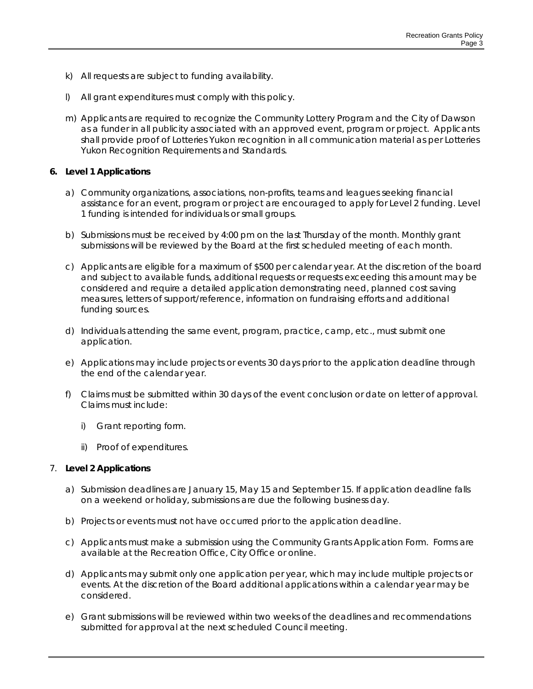- k) All requests are subject to funding availability.
- l) All grant expenditures must comply with this policy.
- m) Applicants are required to recognize the Community Lottery Program and the City of Dawson as a funder in all publicity associated with an approved event, program or project. Applicants shall provide proof of Lotteries Yukon recognition in all communication material as per Lotteries Yukon Recognition Requirements and Standards.

# **6. Level 1 Applications**

- a) Community organizations, associations, non-profits, teams and leagues seeking financial assistance for an event, program or project are encouraged to apply for Level 2 funding. Level 1 funding is intended for individuals or small groups.
- b) Submissions must be received by 4:00 pm on the last Thursday of the month. Monthly grant submissions will be reviewed by the Board at the first scheduled meeting of each month.
- c) Applicants are eligible for a maximum of \$500 per calendar year. At the discretion of the board and subject to available funds, additional requests or requests exceeding this amount may be considered and require a detailed application demonstrating need, planned cost saving measures, letters of support/reference, information on fundraising efforts and additional funding sources.
- d) Individuals attending the same event, program, practice, camp, etc., must submit one application.
- e) Applications may include projects or events 30 days prior to the application deadline through the end of the calendar year.
- f) Claims must be submitted within 30 days of the event conclusion or date on letter of approval. Claims must include:
	- i) Grant reporting form.
	- ii) Proof of expenditures.

# 7. **Level 2 Applications**

- a) Submission deadlines are January 15, May 15 and September 15. If application deadline falls on a weekend or holiday, submissions are due the following business day.
- b) Projects or events must not have occurred prior to the application deadline.
- c) Applicants must make a submission using the Community Grants Application Form. Forms are available at the Recreation Office, City Office or online.
- d) Applicants may submit only one application per year, which may include multiple projects or events. At the discretion of the Board additional applications within a calendar year may be considered.
- e) Grant submissions will be reviewed within two weeks of the deadlines and recommendations submitted for approval at the next scheduled Council meeting.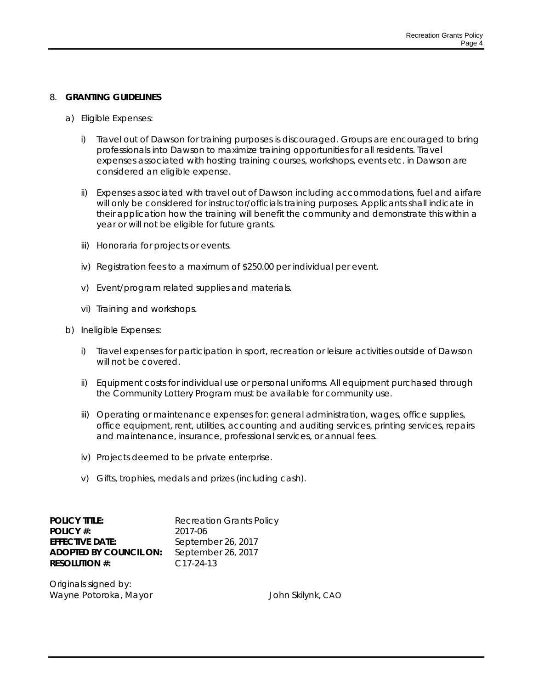#### 8. **GRANTING GUIDELINES**

- a) Eligible Expenses:
	- i) Travel out of Dawson for training purposes is discouraged. Groups are encouraged to bring professionals into Dawson to maximize training opportunities for all residents. Travel expenses associated with hosting training courses, workshops, events etc. in Dawson are considered an eligible expense.
	- ii) Expenses associated with travel out of Dawson including accommodations, fuel and airfare will only be considered for instructor/officials training purposes. Applicants shall indicate in their application how the training will benefit the community and demonstrate this within a year or will not be eligible for future grants.
	- iii) Honoraria for projects or events.
	- iv) Registration fees to a maximum of \$250.00 per individual per event.
	- v) Event/program related supplies and materials.
	- vi) Training and workshops.
- b) Ineligible Expenses:
	- i) Travel expenses for participation in sport, recreation or leisure activities outside of Dawson will not be covered.
	- ii) Equipment costs for individual use or personal uniforms. All equipment purchased through the Community Lottery Program must be available for community use.
	- iii) Operating or maintenance expenses for: general administration, wages, office supplies, office equipment, rent, utilities, accounting and auditing services, printing services, repairs and maintenance, insurance, professional services, or annual fees.
	- iv) Projects deemed to be private enterprise.
	- v) Gifts, trophies, medals and prizes (including cash).

| <b>POLICY TITLE:</b>          | <b>Recreation Grants Policy</b> |
|-------------------------------|---------------------------------|
| POLICY #:                     | 2017-06                         |
| <b>EFFECTIVE DATE:</b>        | September 26, 2017              |
| <b>ADOPTED BY COUNCIL ON:</b> | September 26, 2017              |
| <b>RESOLUTION #:</b>          | $C_{17-24-13}$                  |
|                               |                                 |

Originals signed by: Wayne Potoroka, Mayor John Skilynk, CAO